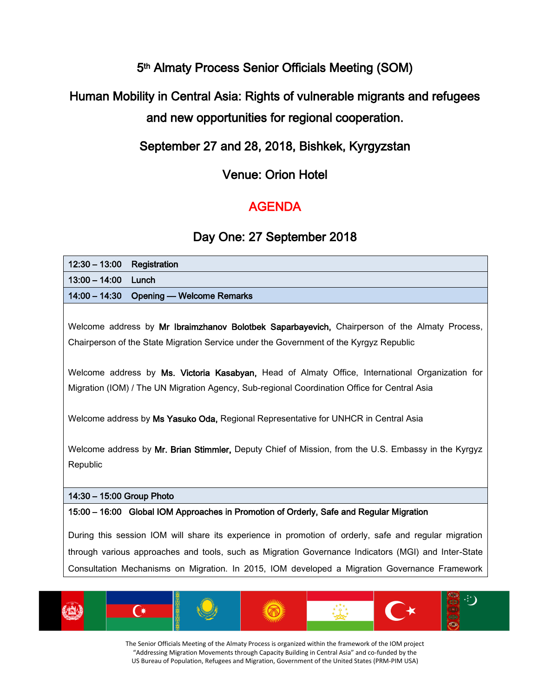# 5th Almaty Process Senior Officials Meeting (SOM)

# Human Mobility in Central Asia: Rights of vulnerable migrants and refugees and new opportunities for regional cooperation.

# September 27 and 28, 2018, Bishkek, Kyrgyzstan

### Venue: Orion Hotel

# AGENDA

## Day One: 27 September 2018

| $12:30 - 13:00$<br>Registration                                                                                                                                                                              |
|--------------------------------------------------------------------------------------------------------------------------------------------------------------------------------------------------------------|
| $13:00 - 14:00$<br>Lunch                                                                                                                                                                                     |
| $14:00 - 14:30$<br><b>Opening — Welcome Remarks</b>                                                                                                                                                          |
| Welcome address by Mr Ibraimzhanov Bolotbek Saparbayevich, Chairperson of the Almaty Process,                                                                                                                |
| Chairperson of the State Migration Service under the Government of the Kyrgyz Republic                                                                                                                       |
| Welcome address by Ms. Victoria Kasabyan, Head of Almaty Office, International Organization for<br>Migration (IOM) / The UN Migration Agency, Sub-regional Coordination Office for Central Asia              |
| Welcome address by Ms Yasuko Oda, Regional Representative for UNHCR in Central Asia                                                                                                                          |
| Welcome address by Mr. Brian Stimmler, Deputy Chief of Mission, from the U.S. Embassy in the Kyrgyz<br>Republic                                                                                              |
| 14:30 - 15:00 Group Photo                                                                                                                                                                                    |
| 15:00 - 16:00 Global IOM Approaches in Promotion of Orderly, Safe and Regular Migration                                                                                                                      |
| During this session IOM will share its experience in promotion of orderly, safe and regular migration<br>through various approaches and tools, such as Migration Governance Indicators (MGI) and Inter-State |
| Consultation Mechanisms on Migration. In 2015, IOM developed a Migration Governance Framework                                                                                                                |

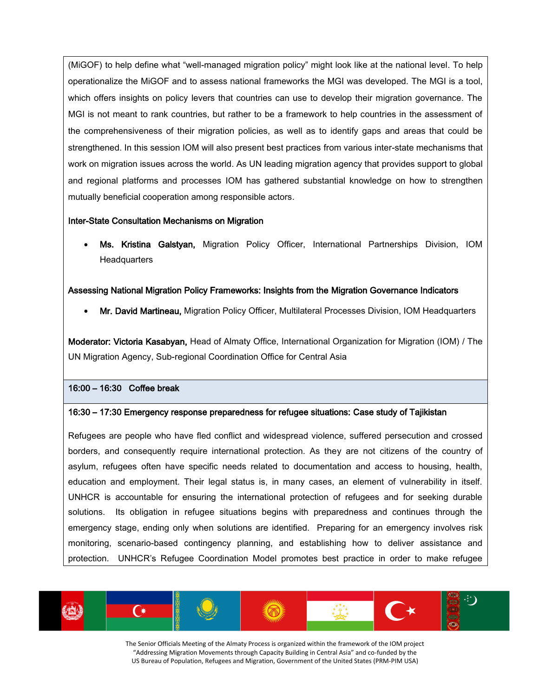(MiGOF) to help define what "well-managed migration policy" might look like at the national level. To help operationalize the MiGOF and to assess national frameworks the MGI was developed. The MGI is a tool, which offers insights on policy levers that countries can use to develop their migration governance. The MGI is not meant to rank countries, but rather to be a framework to help countries in the assessment of the comprehensiveness of their migration policies, as well as to identify gaps and areas that could be strengthened. In this session IOM will also present best practices from various inter-state mechanisms that work on migration issues across the world. As UN leading migration agency that provides support to global and regional platforms and processes IOM has gathered substantial knowledge on how to strengthen mutually beneficial cooperation among responsible actors.

#### Inter-State Consultation Mechanisms on Migration

• Ms. Kristina Galstyan, Migration Policy Officer, International Partnerships Division, IOM **Headquarters** 

#### Assessing National Migration Policy Frameworks: Insights from the Migration Governance Indicators

• Mr. David Martineau, Migration Policy Officer, Multilateral Processes Division, IOM Headquarters

Moderator: Victoria Kasabyan, Head of Almaty Office, International Organization for Migration (IOM) / The UN Migration Agency, Sub-regional Coordination Office for Central Asia

#### 16:00 – 16:30 Coffee break

#### 16:30 – 17:30 Emergency response preparedness for refugee situations: Case study of Tajikistan

Refugees are people who have fled conflict and widespread violence, suffered persecution and crossed borders, and consequently require international protection. As they are not citizens of the country of asylum, refugees often have specific needs related to documentation and access to housing, health, education and employment. Their legal status is, in many cases, an element of vulnerability in itself. UNHCR is accountable for ensuring the international protection of refugees and for seeking durable solutions. Its obligation in refugee situations begins with preparedness and continues through the emergency stage, ending only when solutions are identified. Preparing for an emergency involves risk monitoring, scenario-based contingency planning, and establishing how to deliver assistance and protection. UNHCR's Refugee Coordination Model promotes best practice in order to make refugee

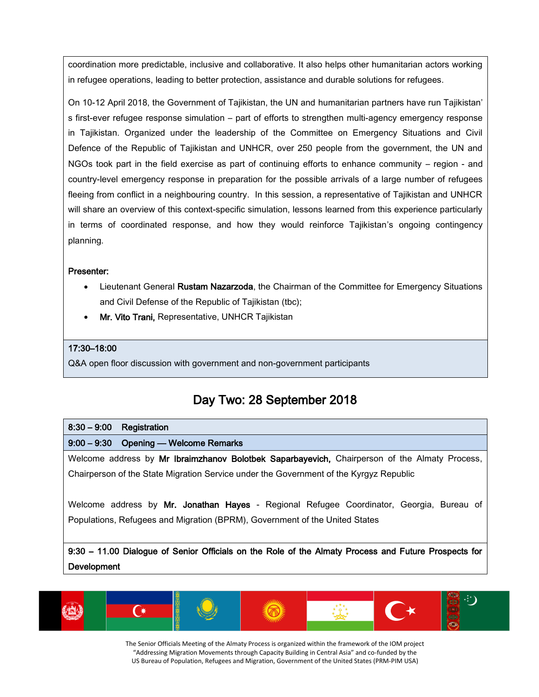coordination more predictable, inclusive and collaborative. It also helps other humanitarian actors working in refugee operations, leading to better protection, assistance and durable solutions for refugees.

On 10-12 April 2018, the Government of Tajikistan, the UN and humanitarian partners have run Tajikistan' s first-ever refugee response simulation – part of efforts to strengthen multi-agency emergency response in Tajikistan. Organized under the leadership of the Committee on Emergency Situations and Civil Defence of the Republic of Tajikistan and UNHCR, over 250 people from the government, the UN and NGOs took part in the field exercise as part of continuing efforts to enhance community – region - and country-level emergency response in preparation for the possible arrivals of a large number of refugees fleeing from conflict in a neighbouring country. In this session, a representative of Tajikistan and UNHCR will share an overview of this context-specific simulation, lessons learned from this experience particularly in terms of coordinated response, and how they would reinforce Tajikistan's ongoing contingency planning.

#### Presenter:

- Lieutenant General Rustam Nazarzoda, the Chairman of the Committee for Emergency Situations and Civil Defense of the Republic of Tajikistan (tbc);
- Mr. Vito Trani, Representative, UNHCR Tajikistan

#### 17:30–18:00

Q&A open floor discussion with government and non-government participants

### Day Two: 28 September 2018

#### 8:30 – 9:00 Registration

#### 9:00 – 9:30 Opening — Welcome Remarks

Welcome address by Mr Ibraimzhanov Bolotbek Saparbayevich, Chairperson of the Almaty Process, Chairperson of the State Migration Service under the Government of the Kyrgyz Republic

Welcome address by Mr. Jonathan Hayes - Regional Refugee Coordinator, Georgia, Bureau of Populations, Refugees and Migration (BPRM), Government of the United States

9:30 – 11.00 Dialogue of Senior Officials on the Role of the Almaty Process and Future Prospects for **Development** 

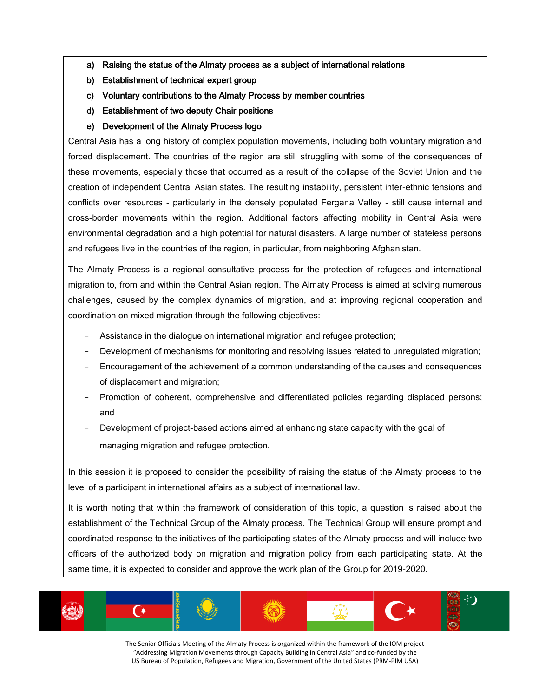- a) Raising the status of the Almaty process as a subject of international relations
- b) Establishment of technical expert group
- c) Voluntary contributions to the Almaty Process by member countries
- d) Establishment of two deputy Chair positions
- e) Development of the Almaty Process logo

Central Asia has a long history of complex population movements, including both voluntary migration and forced displacement. The countries of the region are still struggling with some of the consequences of these movements, especially those that occurred as a result of the collapse of the Soviet Union and the creation of independent Central Asian states. The resulting instability, persistent inter-ethnic tensions and conflicts over resources - particularly in the densely populated Fergana Valley - still cause internal and cross-border movements within the region. Additional factors affecting mobility in Central Asia were environmental degradation and a high potential for natural disasters. A large number of stateless persons and refugees live in the countries of the region, in particular, from neighboring Afghanistan.

The Almaty Process is a regional consultative process for the protection of refugees and international migration to, from and within the Central Asian region. The Almaty Process is aimed at solving numerous challenges, caused by the complex dynamics of migration, and at improving regional cooperation and coordination on mixed migration through the following objectives:

- Assistance in the dialogue on international migration and refugee protection;
- Development of mechanisms for monitoring and resolving issues related to unregulated migration;
- Encouragement of the achievement of a common understanding of the causes and consequences of displacement and migration;
- Promotion of coherent, comprehensive and differentiated policies regarding displaced persons; and
- Development of project-based actions aimed at enhancing state capacity with the goal of managing migration and refugee protection.

In this session it is proposed to consider the possibility of raising the status of the Almaty process to the level of a participant in international affairs as a subject of international law.

It is worth noting that within the framework of consideration of this topic, a question is raised about the establishment of the Technical Group of the Almaty process. The Technical Group will ensure prompt and coordinated response to the initiatives of the participating states of the Almaty process and will include two officers of the authorized body on migration and migration policy from each participating state. At the same time, it is expected to consider and approve the work plan of the Group for 2019-2020.

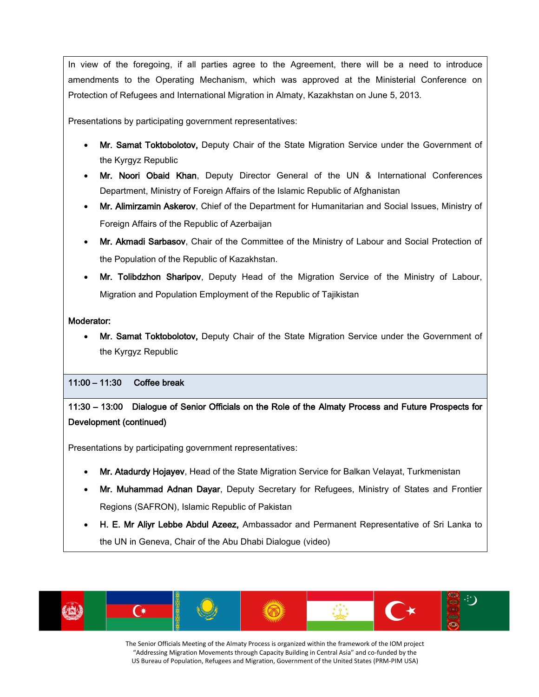In view of the foregoing, if all parties agree to the Agreement, there will be a need to introduce amendments to the Operating Mechanism, which was approved at the Ministerial Conference on Protection of Refugees and International Migration in Almaty, Kazakhstan on June 5, 2013.

Presentations by participating government representatives:

- Mr. Samat Toktobolotov, Deputy Chair of the State Migration Service under the Government of the Kyrgyz Republic
- Mr. Noori Obaid Khan, Deputy Director General of the UN & International Conferences Department, Ministry of Foreign Affairs of the Islamic Republic of Afghanistan
- Mr. Alimirzamin Askerov, Chief of the Department for Humanitarian and Social Issues, Ministry of Foreign Affairs of the Republic of Azerbaijan
- Mr. Akmadi Sarbasov, Chair of the Committee of the Ministry of Labour and Social Protection of the Population of the Republic of Kazakhstan.
- Mr. Tolibdzhon Sharipov, Deputy Head of the Migration Service of the Ministry of Labour, Migration and Population Employment of the Republic of Tajikistan

#### Moderator:

• Mr. Samat Toktobolotov, Deputy Chair of the State Migration Service under the Government of the Kyrgyz Republic

#### 11:00 – 11:30 Coffee break

### 11:30 – 13:00 Dialogue of Senior Officials on the Role of the Almaty Process and Future Prospects for Development (continued)

Presentations by participating government representatives:

- Mr. Atadurdy Hojayev, Head of the State Migration Service for Balkan Velayat, Turkmenistan
- Mr. Muhammad Adnan Dayar, Deputy Secretary for Refugees, Ministry of States and Frontier Regions (SAFRON), Islamic Republic of Pakistan
- H. E. Mr Aliyr Lebbe Abdul Azeez, Ambassador and Permanent Representative of Sri Lanka to the UN in Geneva, Chair of the Abu Dhabi Dialogue (video)

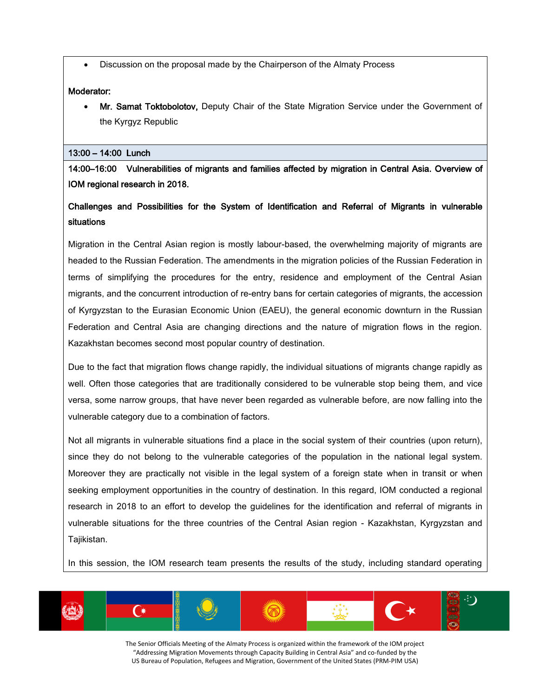• Discussion on the proposal made by the Chairperson of the Almaty Process

#### Moderator:

• Mr. Samat Toktobolotov, Deputy Chair of the State Migration Service under the Government of the Kyrgyz Republic

#### 13:00 – 14:00 Lunch

14:00–16:00 Vulnerabilities of migrants and families affected by migration in Central Asia. Overview of IOM regional research in 2018.

### Challenges and Possibilities for the System of Identification and Referral of Migrants in vulnerable situations

Migration in the Central Asian region is mostly labour-based, the overwhelming majority of migrants are headed to the Russian Federation. The amendments in the migration policies of the Russian Federation in terms of simplifying the procedures for the entry, residence and employment of the Central Asian migrants, and the concurrent introduction of re-entry bans for certain categories of migrants, the accession of Kyrgyzstan to the Eurasian Economic Union (EAEU), the general economic downturn in the Russian Federation and Central Asia are changing directions and the nature of migration flows in the region. Kazakhstan becomes second most popular country of destination.

Due to the fact that migration flows change rapidly, the individual situations of migrants change rapidly as well. Often those categories that are traditionally considered to be vulnerable stop being them, and vice versa, some narrow groups, that have never been regarded as vulnerable before, are now falling into the vulnerable category due to a combination of factors.

Not all migrants in vulnerable situations find a place in the social system of their countries (upon return), since they do not belong to the vulnerable categories of the population in the national legal system. Moreover they are practically not visible in the legal system of a foreign state when in transit or when seeking employment opportunities in the country of destination. In this regard, IOM conducted a regional research in 2018 to an effort to develop the guidelines for the identification and referral of migrants in vulnerable situations for the three countries of the Central Asian region - Kazakhstan, Kyrgyzstan and Tajikistan.

In this session, the IOM research team presents the results of the study, including standard operating

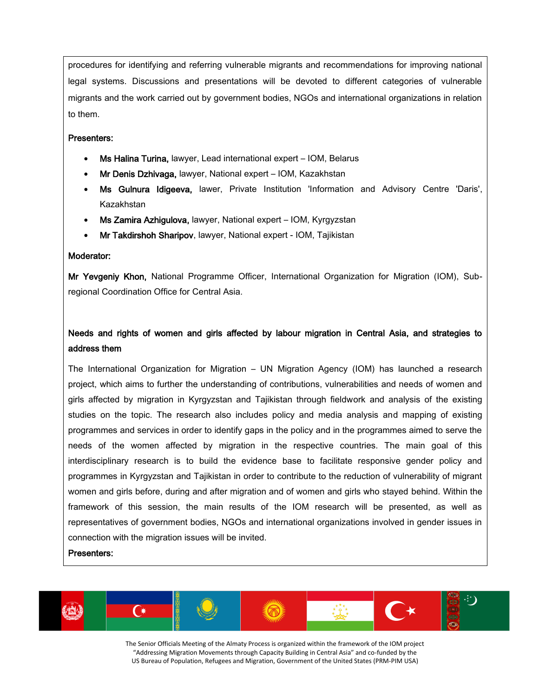procedures for identifying and referring vulnerable migrants and recommendations for improving national legal systems. Discussions and presentations will be devoted to different categories of vulnerable migrants and the work carried out by government bodies, NGOs and international organizations in relation to them.

#### Presenters:

- Ms Halina Turina, lawyer, Lead international expert IOM, Belarus
- Mr Denis Dzhivaga, lawyer, National expert IOM, Kazakhstan
- Ms Gulnura Idigeeva, lawer, Private Institution 'Information and Advisory Centre 'Daris', Kazakhstan
- Ms Zamira Azhigulova, lawyer, National expert IOM, Kyrgyzstan
- Mr Takdirshoh Sharipov, lawyer, National expert IOM, Tajikistan

#### Moderator:

Mr Yevgeniy Khon, National Programme Officer, International Organization for Migration (IOM), Subregional Coordination Office for Central Asia.

### Needs and rights of women and girls affected by labour migration in Central Asia, and strategies to address them

The International Organization for Migration – UN Migration Agency (IOM) has launched a research project, which aims to further the understanding of contributions, vulnerabilities and needs of women and girls affected by migration in Kyrgyzstan and Tajikistan through fieldwork and analysis of the existing studies on the topic. The research also includes policy and media analysis and mapping of existing programmes and services in order to identify gaps in the policy and in the programmes aimed to serve the needs of the women affected by migration in the respective countries. The main goal of this interdisciplinary research is to build the evidence base to facilitate responsive gender policy and programmes in Kyrgyzstan and Tajikistan in order to contribute to the reduction of vulnerability of migrant women and girls before, during and after migration and of women and girls who stayed behind. Within the framework of this session, the main results of the IOM research will be presented, as well as representatives of government bodies, NGOs and international organizations involved in gender issues in connection with the migration issues will be invited.

#### Presenters:

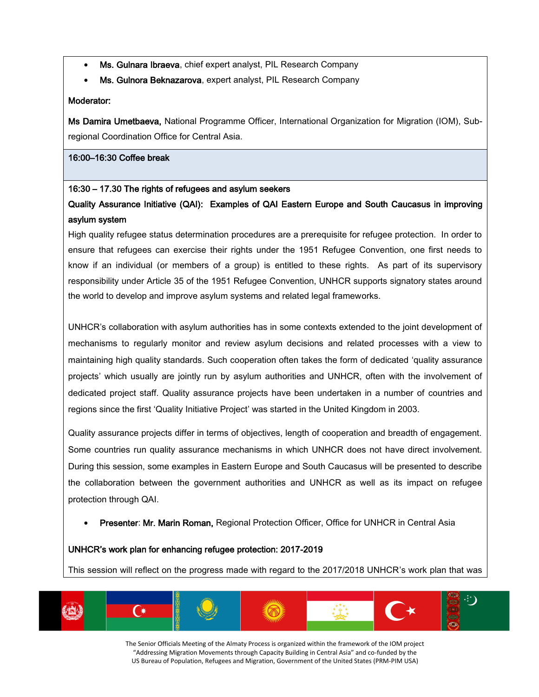- Ms. Gulnara Ibraeva, chief expert analyst, PIL Research Company
- Ms. Gulnora Beknazarova, expert analyst, PIL Research Company

#### Moderator:

Ms Damira Umetbaeva, National Programme Officer, International Organization for Migration (IOM), Subregional Coordination Office for Central Asia.

#### 16:00–16:30 Coffee break

#### 16:30 – 17.30 The rights of refugees and asylum seekers

Quality Assurance Initiative (QAI): Examples of QAI Eastern Europe and South Caucasus in improving asylum system

High quality refugee status determination procedures are a prerequisite for refugee protection. In order to ensure that refugees can exercise their rights under the 1951 Refugee Convention, one first needs to know if an individual (or members of a group) is entitled to these rights. As part of its supervisory responsibility under Article 35 of the 1951 Refugee Convention, UNHCR supports signatory states around the world to develop and improve asylum systems and related legal frameworks.

UNHCR's collaboration with asylum authorities has in some contexts extended to the joint development of mechanisms to regularly monitor and review asylum decisions and related processes with a view to maintaining high quality standards. Such cooperation often takes the form of dedicated 'quality assurance projects' which usually are jointly run by asylum authorities and UNHCR, often with the involvement of dedicated project staff. Quality assurance projects have been undertaken in a number of countries and regions since the first 'Quality Initiative Project' was started in the United Kingdom in 2003.

Quality assurance projects differ in terms of objectives, length of cooperation and breadth of engagement. Some countries run quality assurance mechanisms in which UNHCR does not have direct involvement. During this session, some examples in Eastern Europe and South Caucasus will be presented to describe the collaboration between the government authorities and UNHCR as well as its impact on refugee protection through QAI.

• Presenter: Mr. Marin Roman, Regional Protection Officer, Office for UNHCR in Central Asia

#### UNHCR's work plan for enhancing refugee protection: 2017-2019

This session will reflect on the progress made with regard to the 2017/2018 UNHCR's work plan that was